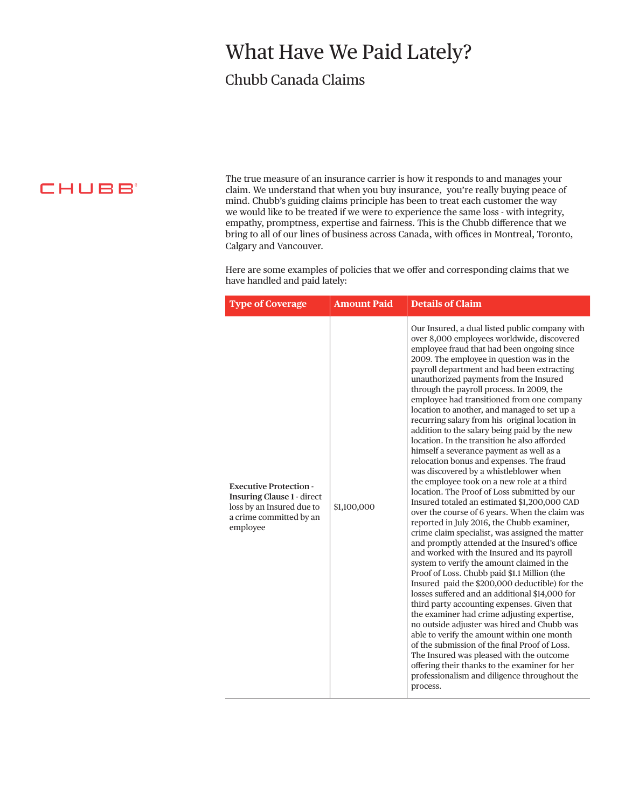## What Have We Paid Lately?

## Chubb Canada Claims

**CHUBB** 

The true measure of an insurance carrier is how it responds to and manages your claim. We understand that when you buy insurance, you're really buying peace of mind. Chubb's guiding claims principle has been to treat each customer the way we would like to be treated if we were to experience the same loss - with integrity, empathy, promptness, expertise and fairness. This is the Chubb difference that we bring to all of our lines of business across Canada, with offices in Montreal, Toronto, Calgary and Vancouver.

Here are some examples of policies that we offer and corresponding claims that we have handled and paid lately:

| <b>Type of Coverage</b>                                                                                                                | <b>Amount Paid</b> | <b>Details of Claim</b>                                                                                                                                                                                                                                                                                                                                                                                                                                                                                                                                                                                                                                                                                                                                                                                                                                                                                                                                                                                                                                                                                                                                                                                                                                                                                                                                                                                                                                                                                                                                                                                                                                                                                                |
|----------------------------------------------------------------------------------------------------------------------------------------|--------------------|------------------------------------------------------------------------------------------------------------------------------------------------------------------------------------------------------------------------------------------------------------------------------------------------------------------------------------------------------------------------------------------------------------------------------------------------------------------------------------------------------------------------------------------------------------------------------------------------------------------------------------------------------------------------------------------------------------------------------------------------------------------------------------------------------------------------------------------------------------------------------------------------------------------------------------------------------------------------------------------------------------------------------------------------------------------------------------------------------------------------------------------------------------------------------------------------------------------------------------------------------------------------------------------------------------------------------------------------------------------------------------------------------------------------------------------------------------------------------------------------------------------------------------------------------------------------------------------------------------------------------------------------------------------------------------------------------------------------|
| <b>Executive Protection -</b><br><b>Insuring Clause 1 - direct</b><br>loss by an Insured due to<br>a crime committed by an<br>employee | \$1,100,000        | Our Insured, a dual listed public company with<br>over 8,000 employees worldwide, discovered<br>employee fraud that had been ongoing since<br>2009. The employee in question was in the<br>payroll department and had been extracting<br>unauthorized payments from the Insured<br>through the payroll process. In 2009, the<br>employee had transitioned from one company<br>location to another, and managed to set up a<br>recurring salary from his original location in<br>addition to the salary being paid by the new<br>location. In the transition he also afforded<br>himself a severance payment as well as a<br>relocation bonus and expenses. The fraud<br>was discovered by a whistleblower when<br>the employee took on a new role at a third<br>location. The Proof of Loss submitted by our<br>Insured totaled an estimated \$1,200,000 CAD<br>over the course of 6 years. When the claim was<br>reported in July 2016, the Chubb examiner,<br>crime claim specialist, was assigned the matter<br>and promptly attended at the Insured's office<br>and worked with the Insured and its payroll<br>system to verify the amount claimed in the<br>Proof of Loss. Chubb paid \$1.1 Million (the<br>Insured paid the \$200,000 deductible) for the<br>losses suffered and an additional \$14,000 for<br>third party accounting expenses. Given that<br>the examiner had crime adjusting expertise,<br>no outside adjuster was hired and Chubb was<br>able to verify the amount within one month<br>of the submission of the final Proof of Loss.<br>The Insured was pleased with the outcome<br>offering their thanks to the examiner for her<br>professionalism and diligence throughout the<br>process. |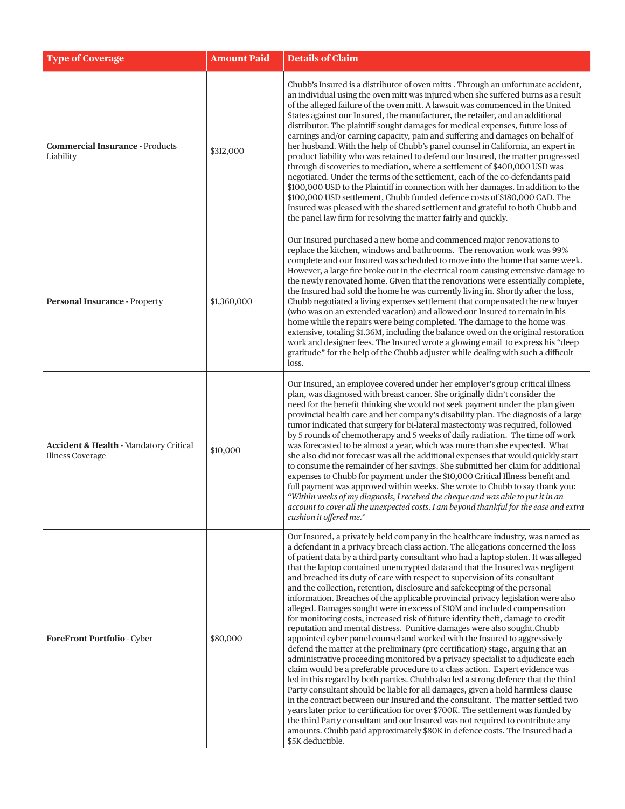| <b>Type of Coverage</b>                                                      | <b>Amount Paid</b> | <b>Details of Claim</b>                                                                                                                                                                                                                                                                                                                                                                                                                                                                                                                                                                                                                                                                                                                                                                                                                                                                                                                                                                                                                                                                                                                                                                                                                                                                                                                                                                                                                                                                                                                                                                                                                                                                                    |
|------------------------------------------------------------------------------|--------------------|------------------------------------------------------------------------------------------------------------------------------------------------------------------------------------------------------------------------------------------------------------------------------------------------------------------------------------------------------------------------------------------------------------------------------------------------------------------------------------------------------------------------------------------------------------------------------------------------------------------------------------------------------------------------------------------------------------------------------------------------------------------------------------------------------------------------------------------------------------------------------------------------------------------------------------------------------------------------------------------------------------------------------------------------------------------------------------------------------------------------------------------------------------------------------------------------------------------------------------------------------------------------------------------------------------------------------------------------------------------------------------------------------------------------------------------------------------------------------------------------------------------------------------------------------------------------------------------------------------------------------------------------------------------------------------------------------------|
| <b>Commercial Insurance - Products</b><br>Liability                          | \$312,000          | Chubb's Insured is a distributor of oven mitts . Through an unfortunate accident,<br>an individual using the oven mitt was injured when she suffered burns as a result<br>of the alleged failure of the oven mitt. A lawsuit was commenced in the United<br>States against our Insured, the manufacturer, the retailer, and an additional<br>distributor. The plaintiff sought damages for medical expenses, future loss of<br>earnings and/or earning capacity, pain and suffering and damages on behalf of<br>her husband. With the help of Chubb's panel counsel in California, an expert in<br>product liability who was retained to defend our Insured, the matter progressed<br>through discoveries to mediation, where a settlement of \$400,000 USD was<br>negotiated. Under the terms of the settlement, each of the co-defendants paid<br>\$100,000 USD to the Plaintiff in connection with her damages. In addition to the<br>\$100,000 USD settlement, Chubb funded defence costs of \$180,000 CAD. The<br>Insured was pleased with the shared settlement and grateful to both Chubb and<br>the panel law firm for resolving the matter fairly and quickly.                                                                                                                                                                                                                                                                                                                                                                                                                                                                                                                                    |
| <b>Personal Insurance - Property</b>                                         | \$1,360,000        | Our Insured purchased a new home and commenced major renovations to<br>replace the kitchen, windows and bathrooms. The renovation work was 99%<br>complete and our Insured was scheduled to move into the home that same week.<br>However, a large fire broke out in the electrical room causing extensive damage to<br>the newly renovated home. Given that the renovations were essentially complete,<br>the Insured had sold the home he was currently living in. Shortly after the loss,<br>Chubb negotiated a living expenses settlement that compensated the new buyer<br>(who was on an extended vacation) and allowed our Insured to remain in his<br>home while the repairs were being completed. The damage to the home was<br>extensive, totaling \$1.36M, including the balance owed on the original restoration<br>work and designer fees. The Insured wrote a glowing email to express his "deep<br>gratitude" for the help of the Chubb adjuster while dealing with such a difficult<br>loss.                                                                                                                                                                                                                                                                                                                                                                                                                                                                                                                                                                                                                                                                                               |
| <b>Accident &amp; Health - Mandatory Critical</b><br><b>Illness Coverage</b> | \$10,000           | Our Insured, an employee covered under her employer's group critical illness<br>plan, was diagnosed with breast cancer. She originally didn't consider the<br>need for the benefit thinking she would not seek payment under the plan given<br>provincial health care and her company's disability plan. The diagnosis of a large<br>tumor indicated that surgery for bi-lateral mastectomy was required, followed<br>by 5 rounds of chemotherapy and 5 weeks of daily radiation. The time off work<br>was forecasted to be almost a year, which was more than she expected. What<br>she also did not forecast was all the additional expenses that would quickly start<br>to consume the remainder of her savings. She submitted her claim for additional<br>expenses to Chubb for payment under the \$10,000 Critical Illness benefit and<br>full payment was approved within weeks. She wrote to Chubb to say thank you:<br>"Within weeks of my diagnosis, I received the cheque and was able to put it in an<br>account to cover all the unexpected costs. I am beyond thankful for the ease and extra<br>cushion it offered me."                                                                                                                                                                                                                                                                                                                                                                                                                                                                                                                                                                      |
| ForeFront Portfolio - Cyber                                                  | \$80,000           | Our Insured, a privately held company in the healthcare industry, was named as<br>a defendant in a privacy breach class action. The allegations concerned the loss<br>of patient data by a third party consultant who had a laptop stolen. It was alleged<br>that the laptop contained unencrypted data and that the Insured was negligent<br>and breached its duty of care with respect to supervision of its consultant<br>and the collection, retention, disclosure and safekeeping of the personal<br>information. Breaches of the applicable provincial privacy legislation were also<br>alleged. Damages sought were in excess of \$10M and included compensation<br>for monitoring costs, increased risk of future identity theft, damage to credit<br>reputation and mental distress. Punitive damages were also sought.Chubb<br>appointed cyber panel counsel and worked with the Insured to aggressively<br>defend the matter at the preliminary (pre certification) stage, arguing that an<br>administrative proceeding monitored by a privacy specialist to adjudicate each<br>claim would be a preferable procedure to a class action. Expert evidence was<br>led in this regard by both parties. Chubb also led a strong defence that the third<br>Party consultant should be liable for all damages, given a hold harmless clause<br>in the contract between our Insured and the consultant. The matter settled two<br>years later prior to certification for over \$700K. The settlement was funded by<br>the third Party consultant and our Insured was not required to contribute any<br>amounts. Chubb paid approximately \$80K in defence costs. The Insured had a<br>\$5K deductible. |